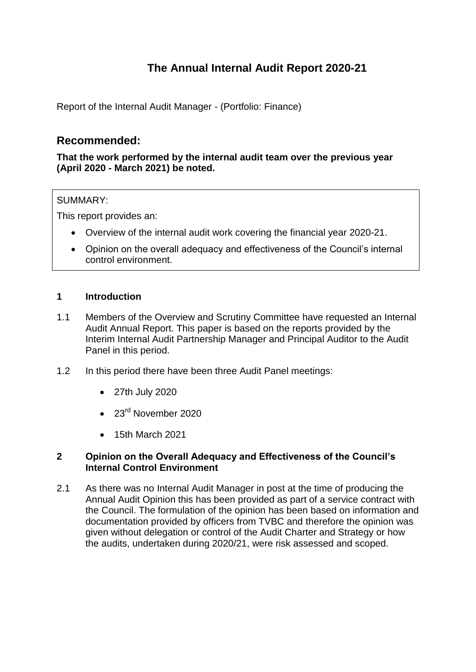# **The Annual Internal Audit Report 2020-21**

Report of the Internal Audit Manager - (Portfolio: Finance)

# **Recommended:**

**That the work performed by the internal audit team over the previous year (April 2020 - March 2021) be noted.**

# SUMMARY:

This report provides an:

- Overview of the internal audit work covering the financial year 2020-21.
- Opinion on the overall adequacy and effectiveness of the Council's internal control environment.

# **1 Introduction**

- 1.1 Members of the Overview and Scrutiny Committee have requested an Internal Audit Annual Report. This paper is based on the reports provided by the Interim Internal Audit Partnership Manager and Principal Auditor to the Audit Panel in this period.
- 1.2 In this period there have been three Audit Panel meetings:
	- 27th July 2020
	- $\bullet$  23<sup>rd</sup> November 2020
	- 15th March 2021

#### **2 Opinion on the Overall Adequacy and Effectiveness of the Council's Internal Control Environment**

2.1 As there was no Internal Audit Manager in post at the time of producing the Annual Audit Opinion this has been provided as part of a service contract with the Council. The formulation of the opinion has been based on information and documentation provided by officers from TVBC and therefore the opinion was given without delegation or control of the Audit Charter and Strategy or how the audits, undertaken during 2020/21, were risk assessed and scoped.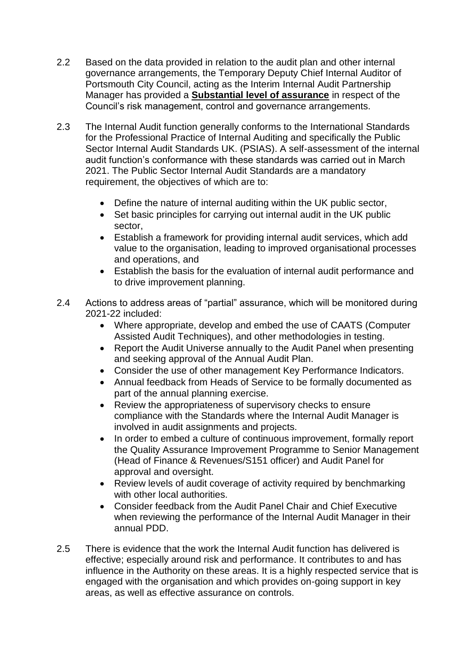- 2.2 Based on the data provided in relation to the audit plan and other internal governance arrangements, the Temporary Deputy Chief Internal Auditor of Portsmouth City Council, acting as the Interim Internal Audit Partnership Manager has provided a **Substantial level of assurance** in respect of the Council's risk management, control and governance arrangements.
- 2.3 The Internal Audit function generally conforms to the International Standards for the Professional Practice of Internal Auditing and specifically the Public Sector Internal Audit Standards UK. (PSIAS). A self-assessment of the internal audit function's conformance with these standards was carried out in March 2021. The Public Sector Internal Audit Standards are a mandatory requirement, the objectives of which are to:
	- Define the nature of internal auditing within the UK public sector,
	- Set basic principles for carrying out internal audit in the UK public sector,
	- Establish a framework for providing internal audit services, which add value to the organisation, leading to improved organisational processes and operations, and
	- Establish the basis for the evaluation of internal audit performance and to drive improvement planning.
- 2.4 Actions to address areas of "partial" assurance, which will be monitored during 2021-22 included:
	- Where appropriate, develop and embed the use of CAATS (Computer Assisted Audit Techniques), and other methodologies in testing.
	- Report the Audit Universe annually to the Audit Panel when presenting and seeking approval of the Annual Audit Plan.
	- Consider the use of other management Key Performance Indicators.
	- Annual feedback from Heads of Service to be formally documented as part of the annual planning exercise.
	- Review the appropriateness of supervisory checks to ensure compliance with the Standards where the Internal Audit Manager is involved in audit assignments and projects.
	- In order to embed a culture of continuous improvement, formally report the Quality Assurance Improvement Programme to Senior Management (Head of Finance & Revenues/S151 officer) and Audit Panel for approval and oversight.
	- Review levels of audit coverage of activity required by benchmarking with other local authorities.
	- Consider feedback from the Audit Panel Chair and Chief Executive when reviewing the performance of the Internal Audit Manager in their annual PDD.
- 2.5 There is evidence that the work the Internal Audit function has delivered is effective; especially around risk and performance. It contributes to and has influence in the Authority on these areas. It is a highly respected service that is engaged with the organisation and which provides on-going support in key areas, as well as effective assurance on controls.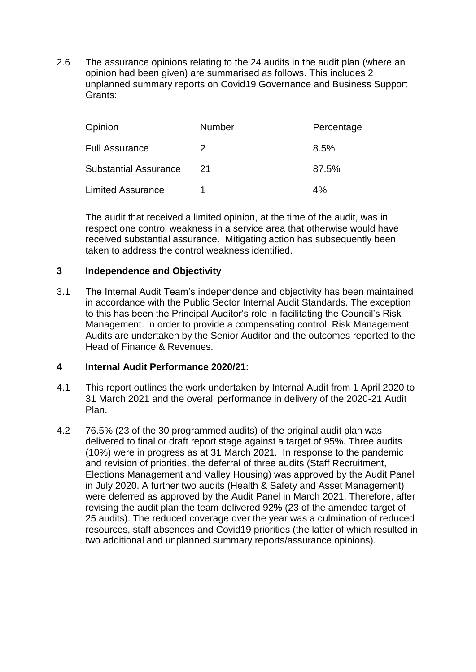2.6 The assurance opinions relating to the 24 audits in the audit plan (where an opinion had been given) are summarised as follows. This includes 2 unplanned summary reports on Covid19 Governance and Business Support Grants:

| Opinion                      | Number | Percentage |
|------------------------------|--------|------------|
| <b>Full Assurance</b>        | 2      | 8.5%       |
| <b>Substantial Assurance</b> | 21     | 87.5%      |
| <b>Limited Assurance</b>     | 1      | 4%         |

The audit that received a limited opinion, at the time of the audit, was in respect one control weakness in a service area that otherwise would have received substantial assurance. Mitigating action has subsequently been taken to address the control weakness identified.

# **3 Independence and Objectivity**

3.1 The Internal Audit Team's independence and objectivity has been maintained in accordance with the Public Sector Internal Audit Standards. The exception to this has been the Principal Auditor's role in facilitating the Council's Risk Management. In order to provide a compensating control, Risk Management Audits are undertaken by the Senior Auditor and the outcomes reported to the Head of Finance & Revenues.

#### **4 Internal Audit Performance 2020/21:**

- 4.1 This report outlines the work undertaken by Internal Audit from 1 April 2020 to 31 March 2021 and the overall performance in delivery of the 2020-21 Audit Plan.
- 4.2 76.5% (23 of the 30 programmed audits) of the original audit plan was delivered to final or draft report stage against a target of 95%. Three audits (10%) were in progress as at 31 March 2021. In response to the pandemic and revision of priorities, the deferral of three audits (Staff Recruitment, Elections Management and Valley Housing) was approved by the Audit Panel in July 2020. A further two audits (Health & Safety and Asset Management) were deferred as approved by the Audit Panel in March 2021. Therefore, after revising the audit plan the team delivered 92**%** (23 of the amended target of 25 audits). The reduced coverage over the year was a culmination of reduced resources, staff absences and Covid19 priorities (the latter of which resulted in two additional and unplanned summary reports/assurance opinions).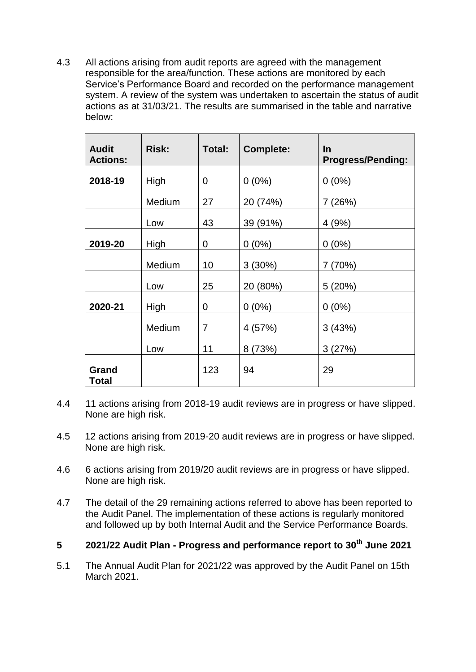4.3 All actions arising from audit reports are agreed with the management responsible for the area/function. These actions are monitored by each Service's Performance Board and recorded on the performance management system. A review of the system was undertaken to ascertain the status of audit actions as at 31/03/21. The results are summarised in the table and narrative below:

| <b>Audit</b><br><b>Actions:</b> | <b>Risk:</b> | Total:         | <b>Complete:</b> | <b>In</b><br><b>Progress/Pending:</b> |
|---------------------------------|--------------|----------------|------------------|---------------------------------------|
| 2018-19                         | High         | $\overline{0}$ | $0(0\%)$         | $0(0\%)$                              |
|                                 | Medium       | 27             | 20 (74%)         | 7 (26%)                               |
|                                 | Low          | 43             | 39 (91%)         | 4(9%)                                 |
| 2019-20                         | High         | 0              | $0(0\%)$         | $0(0\%)$                              |
|                                 | Medium       | 10             | 3(30%)           | 7(70%)                                |
|                                 | Low          | 25             | 20 (80%)         | 5(20%)                                |
| 2020-21                         | High         | $\overline{0}$ | $0(0\%)$         | $0(0\%)$                              |
|                                 | Medium       | 7              | 4 (57%)          | 3(43%)                                |
|                                 | Low          | 11             | 8 (73%)          | 3(27%)                                |
| Grand<br><b>Total</b>           |              | 123            | 94               | 29                                    |

- 4.4 11 actions arising from 2018-19 audit reviews are in progress or have slipped. None are high risk.
- 4.5 12 actions arising from 2019-20 audit reviews are in progress or have slipped. None are high risk.
- 4.6 6 actions arising from 2019/20 audit reviews are in progress or have slipped. None are high risk.
- 4.7 The detail of the 29 remaining actions referred to above has been reported to the Audit Panel. The implementation of these actions is regularly monitored and followed up by both Internal Audit and the Service Performance Boards.

# **5 2021/22 Audit Plan - Progress and performance report to 30th June 2021**

5.1 The Annual Audit Plan for 2021/22 was approved by the Audit Panel on 15th March 2021.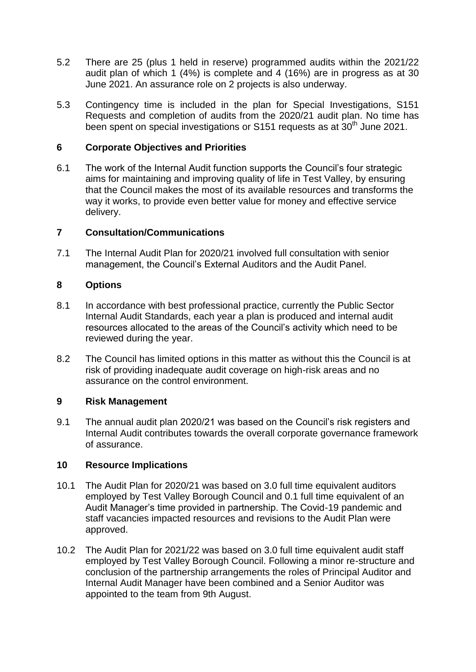- 5.2 There are 25 (plus 1 held in reserve) programmed audits within the 2021/22 audit plan of which 1 (4%) is complete and 4 (16%) are in progress as at 30 June 2021. An assurance role on 2 projects is also underway.
- 5.3 Contingency time is included in the plan for Special Investigations, S151 Requests and completion of audits from the 2020/21 audit plan. No time has been spent on special investigations or S151 requests as at  $30<sup>th</sup>$  June 2021.

# **6 Corporate Objectives and Priorities**

6.1 The work of the Internal Audit function supports the Council's four strategic aims for maintaining and improving quality of life in Test Valley, by ensuring that the Council makes the most of its available resources and transforms the way it works, to provide even better value for money and effective service delivery.

#### **7 Consultation/Communications**

7.1 The Internal Audit Plan for 2020/21 involved full consultation with senior management, the Council's External Auditors and the Audit Panel.

#### **8 Options**

- 8.1 In accordance with best professional practice, currently the Public Sector Internal Audit Standards, each year a plan is produced and internal audit resources allocated to the areas of the Council's activity which need to be reviewed during the year.
- 8.2 The Council has limited options in this matter as without this the Council is at risk of providing inadequate audit coverage on high-risk areas and no assurance on the control environment.

#### **9 Risk Management**

9.1 The annual audit plan 2020/21 was based on the Council's risk registers and Internal Audit contributes towards the overall corporate governance framework of assurance.

#### **10 Resource Implications**

- 10.1 The Audit Plan for 2020/21 was based on 3.0 full time equivalent auditors employed by Test Valley Borough Council and 0.1 full time equivalent of an Audit Manager's time provided in partnership. The Covid-19 pandemic and staff vacancies impacted resources and revisions to the Audit Plan were approved.
- 10.2 The Audit Plan for 2021/22 was based on 3.0 full time equivalent audit staff employed by Test Valley Borough Council. Following a minor re-structure and conclusion of the partnership arrangements the roles of Principal Auditor and Internal Audit Manager have been combined and a Senior Auditor was appointed to the team from 9th August.